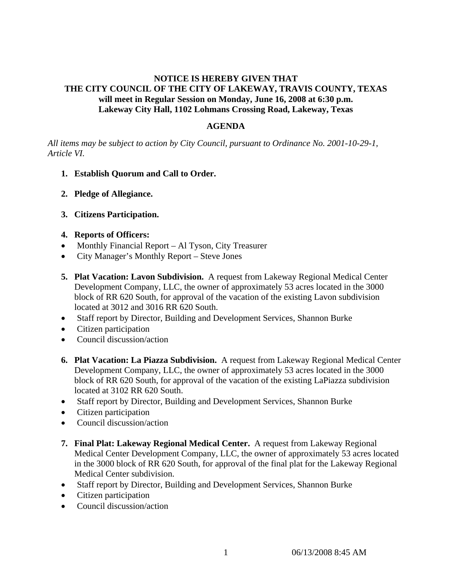## **NOTICE IS HEREBY GIVEN THAT THE CITY COUNCIL OF THE CITY OF LAKEWAY, TRAVIS COUNTY, TEXAS will meet in Regular Session on Monday, June 16, 2008 at 6:30 p.m. Lakeway City Hall, 1102 Lohmans Crossing Road, Lakeway, Texas**

### **AGENDA**

*All items may be subject to action by City Council, pursuant to Ordinance No. 2001-10-29-1, Article VI.* 

- **1. Establish Quorum and Call to Order.**
- **2. Pledge of Allegiance.**
- **3. Citizens Participation.**

### **4. Reports of Officers:**

- Monthly Financial Report Al Tyson, City Treasurer
- City Manager's Monthly Report Steve Jones
- **5. Plat Vacation: Lavon Subdivision.** A request from Lakeway Regional Medical Center Development Company, LLC, the owner of approximately 53 acres located in the 3000 block of RR 620 South, for approval of the vacation of the existing Lavon subdivision located at 3012 and 3016 RR 620 South.
- Staff report by Director, Building and Development Services, Shannon Burke
- Citizen participation
- Council discussion/action
- **6. Plat Vacation: La Piazza Subdivision.** A request from Lakeway Regional Medical Center Development Company, LLC, the owner of approximately 53 acres located in the 3000 block of RR 620 South, for approval of the vacation of the existing LaPiazza subdivision located at 3102 RR 620 South.
- Staff report by Director, Building and Development Services, Shannon Burke
- Citizen participation
- Council discussion/action
- **7. Final Plat: Lakeway Regional Medical Center.** A request from Lakeway Regional Medical Center Development Company, LLC, the owner of approximately 53 acres located in the 3000 block of RR 620 South, for approval of the final plat for the Lakeway Regional Medical Center subdivision.
- Staff report by Director, Building and Development Services, Shannon Burke
- Citizen participation
- Council discussion/action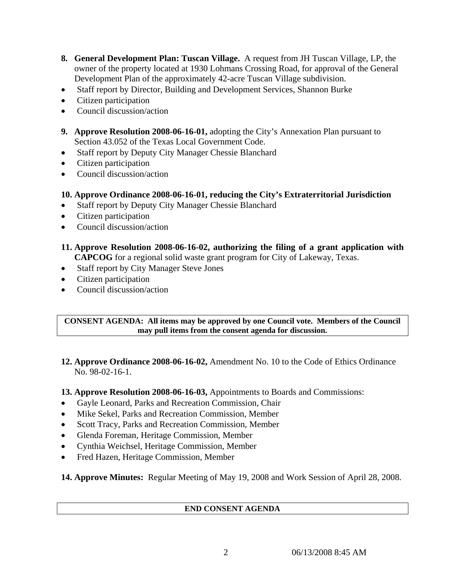- **8. General Development Plan: Tuscan Village.** A request from JH Tuscan Village, LP, the owner of the property located at 1930 Lohmans Crossing Road, for approval of the General Development Plan of the approximately 42-acre Tuscan Village subdivision.
- Staff report by Director, Building and Development Services, Shannon Burke
- Citizen participation
- Council discussion/action
- **9. Approve Resolution 2008-06-16-01,** adopting the City's Annexation Plan pursuant to Section 43.052 of the Texas Local Government Code.
- Staff report by Deputy City Manager Chessie Blanchard
- Citizen participation
- Council discussion/action

## **10. Approve Ordinance 2008-06-16-01, reducing the City's Extraterritorial Jurisdiction**

- Staff report by Deputy City Manager Chessie Blanchard
- Citizen participation
- Council discussion/action

# **11. Approve Resolution 2008-06-16-02, authorizing the filing of a grant application with CAPCOG** for a regional solid waste grant program for City of Lakeway, Texas.

- Staff report by City Manager Steve Jones
- Citizen participation
- Council discussion/action

### **CONSENT AGENDA: All items may be approved by one Council vote. Members of the Council may pull items from the consent agenda for discussion.**

**12. Approve Ordinance 2008-06-16-02,** Amendment No. 10 to the Code of Ethics Ordinance No. 98-02-16-1.

**13. Approve Resolution 2008-06-16-03,** Appointments to Boards and Commissions:

- Gayle Leonard, Parks and Recreation Commission, Chair
- Mike Sekel, Parks and Recreation Commission, Member
- Scott Tracy, Parks and Recreation Commission, Member
- Glenda Foreman, Heritage Commission, Member
- Cynthia Weichsel, Heritage Commission, Member
- Fred Hazen, Heritage Commission, Member

**14. Approve Minutes:** Regular Meeting of May 19, 2008 and Work Session of April 28, 2008.

### **END CONSENT AGENDA**